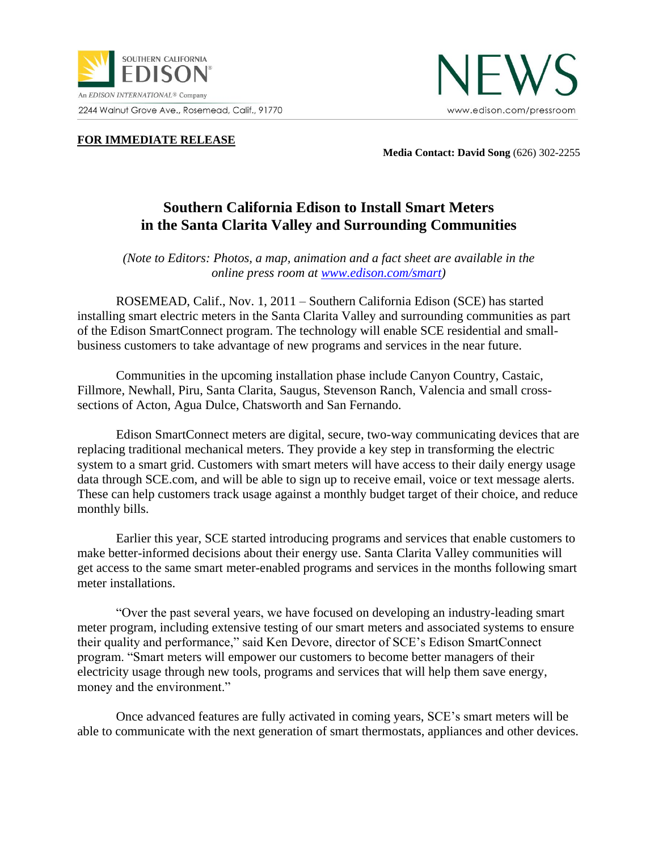



**FOR IMMEDIATE RELEASE** 

**Media Contact: David Song** (626) 302-2255

## **Southern California Edison to Install Smart Meters in the Santa Clarita Valley and Surrounding Communities**

*(Note to Editors: Photos, a map, animation and a fact sheet are available in the online press room at [www.edison.com/smart\)](http://www.edison.com/smart)*

ROSEMEAD, Calif., Nov. 1, 2011 – Southern California Edison (SCE) has started installing smart electric meters in the Santa Clarita Valley and surrounding communities as part of the Edison SmartConnect program. The technology will enable SCE residential and smallbusiness customers to take advantage of new programs and services in the near future.

Communities in the upcoming installation phase include Canyon Country, Castaic, Fillmore, Newhall, Piru, Santa Clarita, Saugus, Stevenson Ranch, Valencia and small crosssections of Acton, Agua Dulce, Chatsworth and San Fernando.

Edison SmartConnect meters are digital, secure, two-way communicating devices that are replacing traditional mechanical meters. They provide a key step in transforming the electric system to a smart grid. Customers with smart meters will have access to their daily energy usage data through SCE.com, and will be able to sign up to receive email, voice or text message alerts. These can help customers track usage against a monthly budget target of their choice, and reduce monthly bills.

Earlier this year, SCE started introducing programs and services that enable customers to make better-informed decisions about their energy use. Santa Clarita Valley communities will get access to the same smart meter-enabled programs and services in the months following smart meter installations.

"Over the past several years, we have focused on developing an industry-leading smart meter program, including extensive testing of our smart meters and associated systems to ensure their quality and performance," said Ken Devore, director of SCE's Edison SmartConnect program. "Smart meters will empower our customers to become better managers of their electricity usage through new tools, programs and services that will help them save energy, money and the environment."

Once advanced features are fully activated in coming years, SCE's smart meters will be able to communicate with the next generation of smart thermostats, appliances and other devices*.*